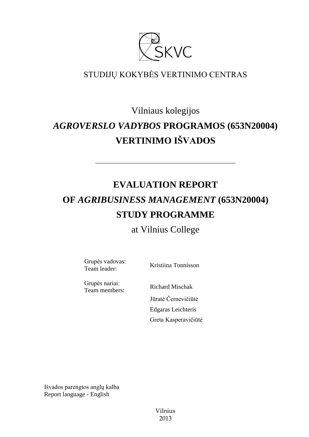

# STUDIJŲ KOKYBĖS VERTINIMO CENTRAS

# Vilniaus kolegijos *AGROVERSLO VADYBOS* **PROGRAMOS (653N20004) VERTINIMO IŠVADOS**

# **EVALUATION REPORT OF** *AGRIBUSINESS MANAGEMENT* **(653N20004) STUDY PROGRAMME**

––––––––––––––––––––––––––––––

# at Vilnius College

Grupės vadovas: Team leader: Kristiina Tonnisson

Grupės nariai:

Team members: Richard Mischak Jūratė Černevičiūtė Edgaras Leichteris Greta Kasperavičiūtė

Išvados parengtos anglų kalba Report language - English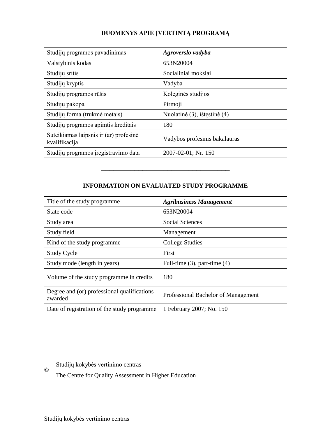## **DUOMENYS APIE ĮVERTINTĄ PROGRAMĄ**

| Studijų programos pavadinimas                           | Agroverslo vadyba             |
|---------------------------------------------------------|-------------------------------|
| Valstybinis kodas                                       | 653N20004                     |
| Studijų sritis                                          | Socialiniai mokslai           |
| Studijų kryptis                                         | Vadyba                        |
| Studijų programos rūšis                                 | Koleginės studijos            |
| Studijų pakopa                                          | Pirmoji                       |
| Studijų forma (trukmė metais)                           | Nuolatinė (3), ištęstinė (4)  |
| Studijų programos apimtis kreditais                     | 180                           |
| Suteikiamas laipsnis ir (ar) profesinė<br>kvalifikacija | Vadybos profesinis bakalauras |
| Studijų programos įregistravimo data                    | 2007-02-01; Nr. 150           |

## **INFORMATION ON EVALUATED STUDY PROGRAMME**

–––––––––––––––––––––––––––––––

| Title of the study programme.                          | <b>Agribusiness Management</b>      |
|--------------------------------------------------------|-------------------------------------|
| State code                                             | 653N20004                           |
| Study area                                             | <b>Social Sciences</b>              |
| Study field                                            | Management                          |
| Kind of the study programme.                           | <b>College Studies</b>              |
| <b>Study Cycle</b>                                     | First                               |
| Study mode (length in years)                           | Full-time $(3)$ , part-time $(4)$   |
| Volume of the study programme in credits               | 180                                 |
| Degree and (or) professional qualifications<br>awarded | Professional Bachelor of Management |
| Date of registration of the study programme            | 1 February 2007; No. 150            |

# Studijų kokybės vertinimo centras

The Centre for Quality Assessment in Higher Education

©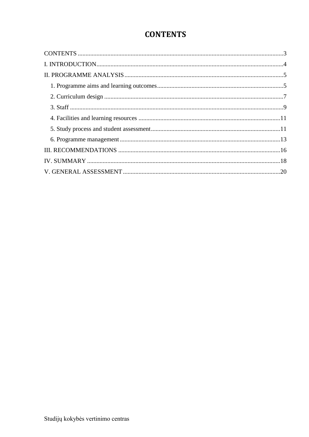# **CONTENTS**

<span id="page-2-0"></span>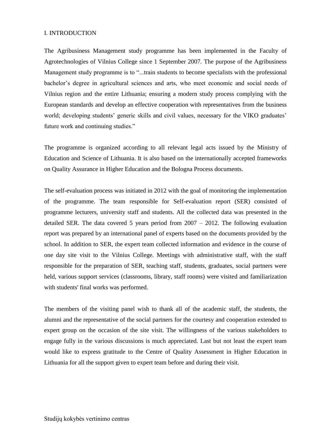#### <span id="page-3-0"></span>I. INTRODUCTION

The Agribusiness Management study programme has been implemented in the Faculty of Agrotechnologies of Vilnius College since 1 September 2007. The purpose of the Agribusiness Management study programme is to "...train students to become specialists with the professional bachelor's degree in agricultural sciences and arts, who meet economic and social needs of Vilnius region and the entire Lithuania; ensuring a modern study process complying with the European standards and develop an effective cooperation with representatives from the business world; developing students' generic skills and civil values, necessary for the VIKO graduates' future work and continuing studies."

The programme is organized according to all relevant legal acts issued by the Ministry of Education and Science of Lithuania. It is also based on the internationally accepted frameworks on Quality Assurance in Higher Education and the Bologna Process documents.

The self-evaluation process was initiated in 2012 with the goal of monitoring the implementation of the programme. The team responsible for Self-evaluation report (SER) consisted of programme lecturers, university staff and students. All the collected data was presented in the detailed SER. The data covered 5 years period from  $2007 - 2012$ . The following evaluation report was prepared by an international panel of experts based on the documents provided by the school. In addition to SER, the expert team collected information and evidence in the course of one day site visit to the Vilnius College. Meetings with administrative staff, with the staff responsible for the preparation of SER, teaching staff, students, graduates, social partners were held, various support services (classrooms, library, staff rooms) were visited and familiarization with students' final works was performed.

The members of the visiting panel wish to thank all of the academic staff, the students, the alumni and the representative of the social partners for the courtesy and cooperation extended to expert group on the occasion of the site visit. The willingness of the various stakeholders to engage fully in the various discussions is much appreciated. Last but not least the expert team would like to express gratitude to the Centre of Quality Assessment in Higher Education in Lithuania for all the support given to expert team before and during their visit.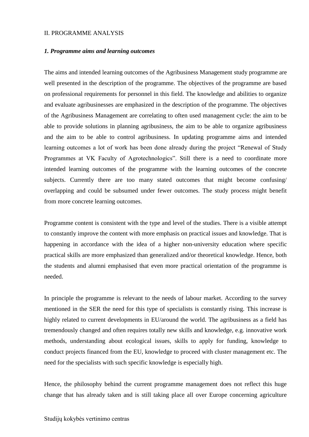#### <span id="page-4-0"></span>II. PROGRAMME ANALYSIS

#### <span id="page-4-1"></span>*1. Programme aims and learning outcomes*

The aims and intended learning outcomes of the Agribusiness Management study programme are well presented in the description of the programme. The objectives of the programme are based on professional requirements for personnel in this field. The knowledge and abilities to organize and evaluate agribusinesses are emphasized in the description of the programme. The objectives of the Agribusiness Management are correlating to often used management cycle: the aim to be able to provide solutions in planning agribusiness, the aim to be able to organize agribusiness and the aim to be able to control agribusiness. In updating programme aims and intended learning outcomes a lot of work has been done already during the project "Renewal of Study Programmes at VK Faculty of Agrotechnologics". Still there is a need to coordinate more intended learning outcomes of the programme with the learning outcomes of the concrete subjects. Currently there are too many stated outcomes that might become confusing/ overlapping and could be subsumed under fewer outcomes. The study process might benefit from more concrete learning outcomes.

Programme content is consistent with the type and level of the studies. There is a visible attempt to constantly improve the content with more emphasis on practical issues and knowledge. That is happening in accordance with the idea of a higher non-university education where specific practical skills are more emphasized than generalized and/or theoretical knowledge. Hence, both the students and alumni emphasised that even more practical orientation of the programme is needed.

In principle the programme is relevant to the needs of labour market. According to the survey mentioned in the SER the need for this type of specialists is constantly rising. This increase is highly related to current developments in EU/around the world. The agribusiness as a field has tremendously changed and often requires totally new skills and knowledge, e.g. innovative work methods, understanding about ecological issues, skills to apply for funding, knowledge to conduct projects financed from the EU, knowledge to proceed with cluster management etc. The need for the specialists with such specific knowledge is especially high.

Hence, the philosophy behind the current programme management does not reflect this huge change that has already taken and is still taking place all over Europe concerning agriculture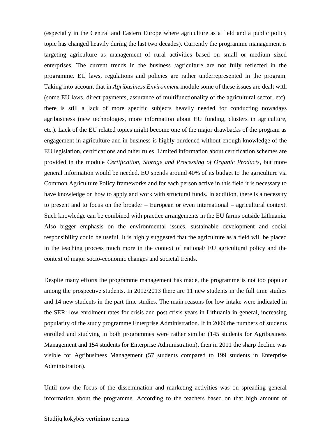(especially in the Central and Eastern Europe where agriculture as a field and a public policy topic has changed heavily during the last two decades). Currently the programme management is targeting agriculture as management of rural activities based on small or medium sized enterprises. The current trends in the business /agriculture are not fully reflected in the programme. EU laws, regulations and policies are rather underrepresented in the program. Taking into account that in *Agribusiness Environment* module some of these issues are dealt with (some EU laws, direct payments, assurance of multifunctionality of the agricultural sector, etc), there is still a lack of more specific subjects heavily needed for conducting nowadays agribusiness (new technologies, more information about EU funding, clusters in agriculture, etc.). Lack of the EU related topics might become one of the major drawbacks of the program as engagement in agriculture and in business is highly burdened without enough knowledge of the EU legislation, certifications and other rules. Limited information about certification schemes are provided in the module *Certification, Storage and Processing of Organic Products*, but more general information would be needed. EU spends around 40% of its budget to the agriculture via Common Agriculture Policy frameworks and for each person active in this field it is necessary to have knowledge on how to apply and work with structural funds. In addition, there is a necessity to present and to focus on the broader – European or even international – agricultural context. Such knowledge can be combined with practice arrangements in the EU farms outside Lithuania. Also bigger emphasis on the environmental issues, sustainable development and social responsibility could be useful. It is highly suggested that the agriculture as a field will be placed in the teaching process much more in the context of national/ EU agricultural policy and the context of major socio-economic changes and societal trends.

Despite many efforts the programme management has made, the programme is not too popular among the prospective students. In 2012/2013 there are 11 new students in the full time studies and 14 new students in the part time studies. The main reasons for low intake were indicated in the SER: low enrolment rates for crisis and post crisis years in Lithuania in general, increasing popularity of the study programme Enterprise Administration. If in 2009 the numbers of students enrolled and studying in both programmes were rather similar (145 students for Agribusiness Management and 154 students for Enterprise Administration), then in 2011 the sharp decline was visible for Agribusiness Management (57 students compared to 199 students in Enterprise Administration).

Until now the focus of the dissemination and marketing activities was on spreading general information about the programme. According to the teachers based on that high amount of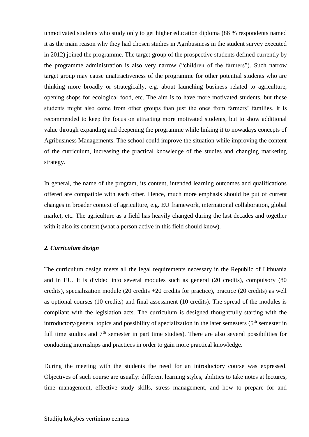unmotivated students who study only to get higher education diploma (86 % respondents named it as the main reason why they had chosen studies in Agribusiness in the student survey executed in 2012) joined the programme. The target group of the prospective students defined currently by the programme administration is also very narrow ("children of the farmers"). Such narrow target group may cause unattractiveness of the programme for other potential students who are thinking more broadly or strategically, e.g. about launching business related to agriculture, opening shops for ecological food, etc. The aim is to have more motivated students, but these students might also come from other groups than just the ones from farmers' families. It is recommended to keep the focus on attracting more motivated students, but to show additional value through expanding and deepening the programme while linking it to nowadays concepts of Agribusiness Managements. The school could improve the situation while improving the content of the curriculum, increasing the practical knowledge of the studies and changing marketing strategy.

In general, the name of the program, its content, intended learning outcomes and qualifications offered are compatible with each other. Hence, much more emphasis should be put of current changes in broader context of agriculture, e.g. EU framework, international collaboration, global market, etc. The agriculture as a field has heavily changed during the last decades and together with it also its content (what a person active in this field should know).

#### <span id="page-6-0"></span>*2. Curriculum design*

The curriculum design meets all the legal requirements necessary in the Republic of Lithuania and in EU. It is divided into several modules such as general (20 credits), compulsory (80 credits), specialization module (20 credits +20 credits for practice), practice (20 credits) as well as optional courses (10 credits) and final assessment (10 credits). The spread of the modules is compliant with the legislation acts. The curriculum is designed thoughtfully starting with the introductory/general topics and possibility of specialization in the later semesters  $(5<sup>th</sup>$  semester in full time studies and  $7<sup>th</sup>$  semester in part time studies). There are also several possibilities for conducting internships and practices in order to gain more practical knowledge.

During the meeting with the students the need for an introductory course was expressed. Objectives of such course are usually: different learning styles, abilities to take notes at lectures, time management, effective study skills, stress management, and how to prepare for and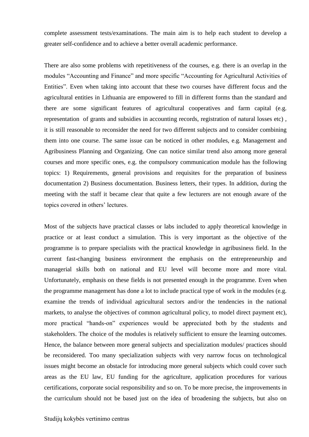complete assessment tests/examinations. The main aim is to help each student to develop a greater self-confidence and to achieve a better overall academic performance.

There are also some problems with repetitiveness of the courses, e.g. there is an overlap in the modules "Accounting and Finance" and more specific "Accounting for Agricultural Activities of Entities". Even when taking into account that these two courses have different focus and the agricultural entities in Lithuania are empowered to fill in different forms than the standard and there are some significant features of agricultural cooperatives and farm capital (e.g. representation of grants and subsidies in accounting records, registration of natural losses etc) , it is still reasonable to reconsider the need for two different subjects and to consider combining them into one course. The same issue can be noticed in other modules, e.g. Management and Agribusiness Planning and Organizing. One can notice similar trend also among more general courses and more specific ones, e.g. the compulsory communication module has the following topics: 1) Requirements, general provisions and requisites for the preparation of business documentation 2) Business documentation. Business letters, their types. In addition, during the meeting with the staff it became clear that quite a few lecturers are not enough aware of the topics covered in others' lectures.

Most of the subjects have practical classes or labs included to apply theoretical knowledge in practice or at least conduct a simulation. This is very important as the objective of the programme is to prepare specialists with the practical knowledge in agribusiness field. In the current fast-changing business environment the emphasis on the entrepreneurship and managerial skills both on national and EU level will become more and more vital. Unfortunately, emphasis on these fields is not presented enough in the programme. Even when the programme management has done a lot to include practical type of work in the modules (e.g. examine the trends of individual agricultural sectors and/or the tendencies in the national markets, to analyse the objectives of common agricultural policy, to model direct payment etc), more practical "hands-on" experiences would be appreciated both by the students and stakeholders. The choice of the modules is relatively sufficient to ensure the learning outcomes. Hence, the balance between more general subjects and specialization modules/ practices should be reconsidered. Too many specialization subjects with very narrow focus on technological issues might become an obstacle for introducing more general subjects which could cover such areas as the EU law, EU funding for the agriculture, application procedures for various certifications, corporate social responsibility and so on. To be more precise, the improvements in the curriculum should not be based just on the idea of broadening the subjects, but also on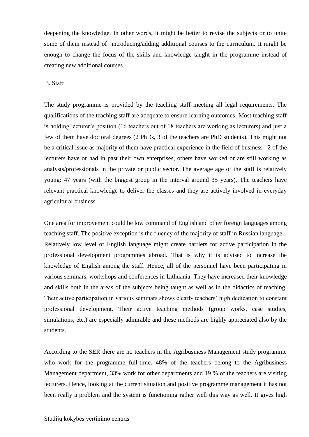deepening the knowledge. In other words, it might be better to revise the subjects or to unite some of them instead of introducing/adding additional courses to the curriculum. It might be enough to change the focus of the skills and knowledge taught in the programme instead of creating new additional courses.

#### <span id="page-8-0"></span>3. Staff

The study programme is provided by the teaching staff meeting all legal requirements. The qualifications of the teaching staff are adequate to ensure learning outcomes. Most teaching staff is holding lecturer's position (16 teachers out of 18 teachers are working as lecturers) and just a few of them have doctoral degrees (2 PhDs, 3 of the teachers are PhD students). This might not be a critical issue as majority of them have practical experience in the field of business –2 of the lecturers have or had in past their own enterprises, others have worked or are still working as analysts/professionals in the private or public sector. The average age of the staff is relatively young: 47 years (with the biggest group in the interval around 35 years). The teachers have relevant practical knowledge to deliver the classes and they are actively involved in everyday agricultural business.

One area for improvement could be low command of English and other foreign languages among teaching staff. The positive exception is the fluency of the majority of staff in Russian language. Relatively low level of English language might create barriers for active participation in the professional development programmes abroad. That is why it is advised to increase the knowledge of English among the staff. Hence, all of the personnel have been participating in various seminars, workshops and conferences in Lithuania. They have increased their knowledge and skills both in the areas of the subjects being taught as well as in the didactics of teaching. Their active participation in various seminars shows clearly teachers' high dedication to constant professional development. Their active teaching methods (group works, case studies, simulations, etc.) are especially admirable and these methods are highly appreciated also by the students.

According to the SER there are no teachers in the Agribusiness Management study programme who work for the programme full-time. 48% of the teachers belong to the Agribusiness Management department, 33% work for other departments and 19 % of the teachers are visiting lecturers. Hence, looking at the current situation and positive programme management it has not been really a problem and the system is functioning rather well this way as well. It gives high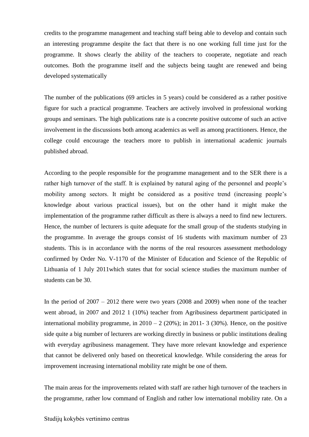credits to the programme management and teaching staff being able to develop and contain such an interesting programme despite the fact that there is no one working full time just for the programme. It shows clearly the ability of the teachers to cooperate, negotiate and reach outcomes. Both the programme itself and the subjects being taught are renewed and being developed systematically

The number of the publications (69 articles in 5 years) could be considered as a rather positive figure for such a practical programme. Teachers are actively involved in professional working groups and seminars. The high publications rate is a concrete positive outcome of such an active involvement in the discussions both among academics as well as among practitioners. Hence, the college could encourage the teachers more to publish in international academic journals published abroad.

According to the people responsible for the programme management and to the SER there is a rather high turnover of the staff. It is explained by natural aging of the personnel and people's mobility among sectors. It might be considered as a positive trend (increasing people's knowledge about various practical issues), but on the other hand it might make the implementation of the programme rather difficult as there is always a need to find new lecturers. Hence, the number of lecturers is quite adequate for the small group of the students studying in the programme. In average the groups consist of 16 students with maximum number of 23 students. This is in accordance with the norms of the real resources assessment methodology confirmed by Order No. V-1170 of the Minister of Education and Science of the Republic of Lithuania of 1 July 2011which states that for social science studies the maximum number of students can be 30.

In the period of 2007 – 2012 there were two years (2008 and 2009) when none of the teacher went abroad, in 2007 and 2012 1 (10%) teacher from Agribusiness department participated in international mobility programme, in  $2010 - 2$  (20%); in 2011-3 (30%). Hence, on the positive side quite a big number of lecturers are working directly in business or public institutions dealing with everyday agribusiness management. They have more relevant knowledge and experience that cannot be delivered only based on theoretical knowledge. While considering the areas for improvement increasing international mobility rate might be one of them.

The main areas for the improvements related with staff are rather high turnover of the teachers in the programme, rather low command of English and rather low international mobility rate. On a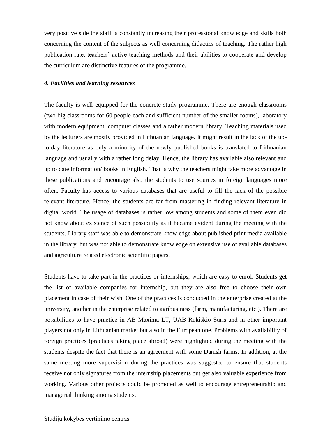very positive side the staff is constantly increasing their professional knowledge and skills both concerning the content of the subjects as well concerning didactics of teaching. The rather high publication rate, teachers' active teaching methods and their abilities to cooperate and develop the curriculum are distinctive features of the programme.

#### <span id="page-10-0"></span>*4. Facilities and learning resources*

<span id="page-10-1"></span>The faculty is well equipped for the concrete study programme. There are enough classrooms (two big classrooms for 60 people each and sufficient number of the smaller rooms), laboratory with modern equipment, computer classes and a rather modern library. Teaching materials used by the lecturers are mostly provided in Lithuanian language. It might result in the lack of the upto-day literature as only a minority of the newly published books is translated to Lithuanian language and usually with a rather long delay. Hence, the library has available also relevant and up to date information/ books in English. That is why the teachers might take more advantage in these publications and encourage also the students to use sources in foreign languages more often. Faculty has access to various databases that are useful to fill the lack of the possible relevant literature. Hence, the students are far from mastering in finding relevant literature in digital world. The usage of databases is rather low among students and some of them even did not know about existence of such possibility as it became evident during the meeting with the students. Library staff was able to demonstrate knowledge about published print media available in the library, but was not able to demonstrate knowledge on extensive use of available databases and agriculture related electronic scientific papers.

Students have to take part in the practices or internships, which are easy to enrol. Students get the list of available companies for internship, but they are also free to choose their own placement in case of their wish. One of the practices is conducted in the enterprise created at the university, another in the enterprise related to agribusiness (farm, manufacturing, etc.). There are possibilities to have practice in AB Maxima LT, UAB Rokiškio Sūris and in other important players not only in Lithuanian market but also in the European one. Problems with availability of foreign practices (practices taking place abroad) were highlighted during the meeting with the students despite the fact that there is an agreement with some Danish farms. In addition, at the same meeting more supervision during the practices was suggested to ensure that students receive not only signatures from the internship placements but get also valuable experience from working. Various other projects could be promoted as well to encourage entrepreneurship and managerial thinking among students.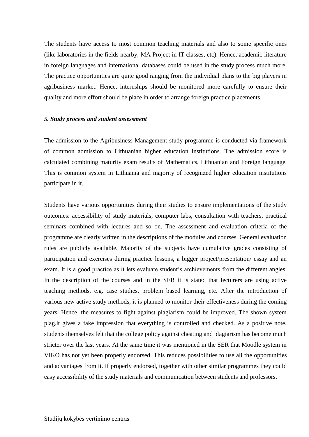The students have access to most common teaching materials and also to some specific ones (like laboratories in the fields nearby, MA Project in IT classes, etc). Hence, academic literature in foreign languages and international databases could be used in the study process much more. The practice opportunities are quite good ranging from the individual plans to the big players in agribusiness market. Hence, internships should be monitored more carefully to ensure their quality and more effort should be place in order to arrange foreign practice placements.

#### *5. Study process and student assessment*

The admission to the Agribusiness Management study programme is conducted via framework of common admission to Lithuanian higher education institutions. The admission score is calculated combining maturity exam results of Mathematics, Lithuanian and Foreign language. This is common system in Lithuania and majority of recognized higher education institutions participate in it.

Students have various opportunities during their studies to ensure implementations of the study outcomes: accessibility of study materials, computer labs, consultation with teachers, practical seminars combined with lectures and so on. The assessment and evaluation criteria of the programme are clearly written in the descriptions of the modules and courses. General evaluation rules are publicly available. Majority of the subjects have cumulative grades consisting of participation and exercises during practice lessons, a bigger project/presentation/ essay and an exam. It is a good practice as it lets evaluate student's archievements from the different angles. In the description of the courses and in the SER it is stated that lecturers are using active teaching methods, e.g. case studies, problem based learning, etc. After the introduction of various new active study methods, it is planned to monitor their effectiveness during the coming years. Hence, the measures to fight against plagiarism could be improved. The shown system plag.lt gives a fake impression that everything is controlled and checked. As a positive note, students themselves felt that the college policy against cheating and plagiarism has become much stricter over the last years. At the same time it was mentioned in the SER that Moodle system in VIKO has not yet been properly endorsed. This reduces possibilities to use all the opportunities and advantages from it. If properly endorsed, together with other similar programmes they could easy accessibility of the study materials and communication between students and professors.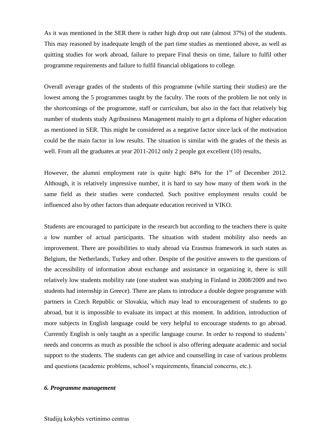As it was mentioned in the SER there is rather high drop out rate (almost 37%) of the students. This may reasoned by inadequate length of the part time studies as mentioned above, as well as quitting studies for work abroad, failure to prepare Final thesis on time, failure to fulfil other programme requirements and failure to fulfil financial obligations to college.

Overall average grades of the students of this programme (while starting their studies) are the lowest among the 5 programmes taught by the faculty. The roots of the problem lie not only in the shortcomings of the programme, staff or curriculum, but also in the fact that relatively big number of students study Agribusiness Management mainly to get a diploma of higher education as mentioned in SER. This might be considered as a negative factor since lack of the motivation could be the main factor in low results. The situation is similar with the grades of the thesis as well. From all the graduates at year 2011-2012 only 2 people got excellent (10) results,

However, the alumni employment rate is quite high: 84% for the 1<sup>st</sup> of December 2012. Although, it is relatively impressive number, it is hard to say how many of them work in the same field as their studies were conducted. Such positive employment results could be influenced also by other factors than adequate education received in VIKO.

Students are encouraged to participate in the research but according to the teachers there is quite a low number of actual participants. The situation with student mobility also needs an improvement. There are possibilities to study abroad via Erasmus framework in such states as Belgium, the Netherlands, Turkey and other. Despite of the positive answers to the questions of the accessibility of information about exchange and assistance in organizing it, there is still relatively low students mobility rate (one student was studying in Finland in 2008/2009 and two students had internship in Greece). There are plans to introduce a double degree programme with partners in Czech Republic or Slovakia, which may lead to encouragement of students to go abroad, but it is impossible to evaluate its impact at this moment. In addition, introduction of more subjects in English language could be very helpful to encourage students to go abroad. Currently English is only taught as a specific language course. In order to respond to students' needs and concerns as much as possible the school is also offering adequate academic and social support to the students. The students can get advice and counselling in case of various problems and questions (academic problems, school's requirements, financial concerns, etc.).

#### <span id="page-12-0"></span>*6. Programme management*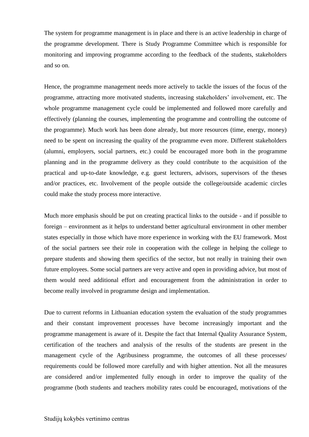The system for programme management is in place and there is an active leadership in charge of the programme development. There is Study Programme Committee which is responsible for monitoring and improving programme according to the feedback of the students, stakeholders and so on.

Hence, the programme management needs more actively to tackle the issues of the focus of the programme, attracting more motivated students, increasing stakeholders' involvement, etc. The whole programme management cycle could be implemented and followed more carefully and effectively (planning the courses, implementing the programme and controlling the outcome of the programme). Much work has been done already, but more resources (time, energy, money) need to be spent on increasing the quality of the programme even more. Different stakeholders (alumni, employers, social partners, etc.) could be encouraged more both in the programme planning and in the programme delivery as they could contribute to the acquisition of the practical and up-to-date knowledge, e.g. guest lecturers, advisors, supervisors of the theses and/or practices, etc. Involvement of the people outside the college/outside academic circles could make the study process more interactive.

Much more emphasis should be put on creating practical links to the outside - and if possible to foreign – environment as it helps to understand better agricultural environment in other member states especially in those which have more experience in working with the EU framework. Most of the social partners see their role in cooperation with the college in helping the college to prepare students and showing them specifics of the sector, but not really in training their own future employees. Some social partners are very active and open in providing advice, but most of them would need additional effort and encouragement from the administration in order to become really involved in programme design and implementation.

Due to current reforms in Lithuanian education system the evaluation of the study programmes and their constant improvement processes have become increasingly important and the programme management is aware of it. Despite the fact that Internal Quality Assurance System, certification of the teachers and analysis of the results of the students are present in the management cycle of the Agribusiness programme, the outcomes of all these processes/ requirements could be followed more carefully and with higher attention. Not all the measures are considered and/or implemented fully enough in order to improve the quality of the programme (both students and teachers mobility rates could be encouraged, motivations of the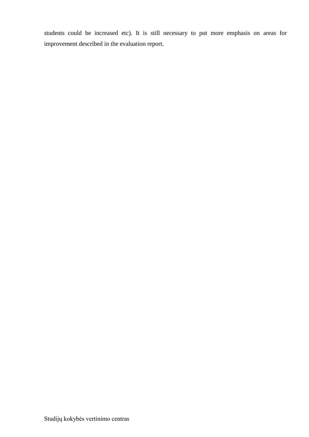students could be increased etc). It is still necessary to put more emphasis on areas for improvement described in the evaluation report.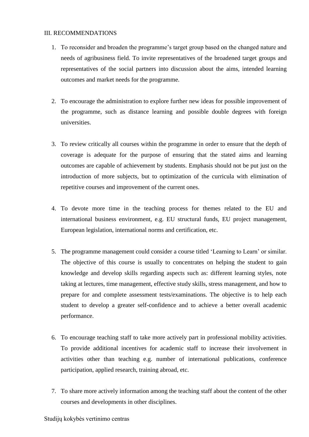#### <span id="page-15-0"></span>III. RECOMMENDATIONS

- 1. To reconsider and broaden the programme's target group based on the changed nature and needs of agribusiness field. To invite representatives of the broadened target groups and representatives of the social partners into discussion about the aims, intended learning outcomes and market needs for the programme.
- 2. To encourage the administration to explore further new ideas for possible improvement of the programme, such as distance learning and possible double degrees with foreign universities.
- 3. To review critically all courses within the programme in order to ensure that the depth of coverage is adequate for the purpose of ensuring that the stated aims and learning outcomes are capable of achievement by students. Emphasis should not be put just on the introduction of more subjects, but to optimization of the curricula with elimination of repetitive courses and improvement of the current ones.
- 4. To devote more time in the teaching process for themes related to the EU and international business environment, e.g. EU structural funds, EU project management, European legislation, international norms and certification, etc.
- 5. The programme management could consider a course titled 'Learning to Learn' or similar. The objective of this course is usually to concentrates on helping the student to gain knowledge and develop skills regarding aspects such as: different learning styles, note taking at lectures, time management, effective study skills, stress management, and how to prepare for and complete assessment tests/examinations. The objective is to help each student to develop a greater self-confidence and to achieve a better overall academic performance.
- 6. To encourage teaching staff to take more actively part in professional mobility activities. To provide additional incentives for academic staff to increase their involvement in activities other than teaching e.g. number of international publications, conference participation, applied research, training abroad, etc.
- 7. To share more actively information among the teaching staff about the content of the other courses and developments in other disciplines.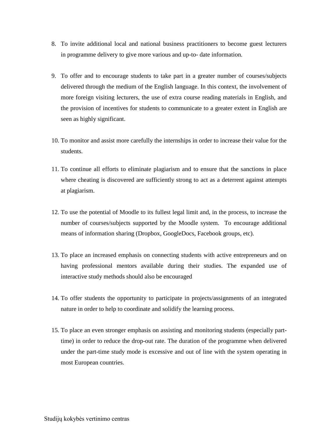- 8. To invite additional local and national business practitioners to become guest lecturers in programme delivery to give more various and up-to- date information.
- 9. To offer and to encourage students to take part in a greater number of courses/subjects delivered through the medium of the English language. In this context, the involvement of more foreign visiting lecturers, the use of extra course reading materials in English, and the provision of incentives for students to communicate to a greater extent in English are seen as highly significant.
- 10. To monitor and assist more carefully the internships in order to increase their value for the students.
- 11. To continue all efforts to eliminate plagiarism and to ensure that the sanctions in place where cheating is discovered are sufficiently strong to act as a deterrent against attempts at plagiarism.
- 12. To use the potential of Moodle to its fullest legal limit and, in the process, to increase the number of courses/subjects supported by the Moodle system. To encourage additional means of information sharing (Dropbox, GoogleDocs, Facebook groups, etc).
- 13. To place an increased emphasis on connecting students with active entrepreneurs and on having professional mentors available during their studies. The expanded use of interactive study methods should also be encouraged
- 14. To offer students the opportunity to participate in projects/assignments of an integrated nature in order to help to coordinate and solidify the learning process.
- 15. To place an even stronger emphasis on assisting and monitoring students (especially parttime) in order to reduce the drop-out rate. The duration of the programme when delivered under the part-time study mode is excessive and out of line with the system operating in most European countries.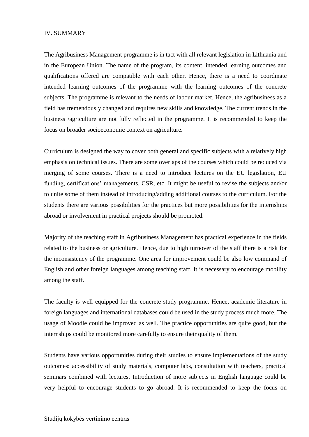#### <span id="page-17-0"></span>IV. SUMMARY

The Agribusiness Management programme is in tact with all relevant legislation in Lithuania and in the European Union. The name of the program, its content, intended learning outcomes and qualifications offered are compatible with each other. Hence, there is a need to coordinate intended learning outcomes of the programme with the learning outcomes of the concrete subjects. The programme is relevant to the needs of labour market. Hence, the agribusiness as a field has tremendously changed and requires new skills and knowledge. The current trends in the business /agriculture are not fully reflected in the programme. It is recommended to keep the focus on broader socioeconomic context on agriculture.

Curriculum is designed the way to cover both general and specific subjects with a relatively high emphasis on technical issues. There are some overlaps of the courses which could be reduced via merging of some courses. There is a need to introduce lectures on the EU legislation, EU funding, certifications' managements, CSR, etc. It might be useful to revise the subjects and/or to unite some of them instead of introducing/adding additional courses to the curriculum. For the students there are various possibilities for the practices but more possibilities for the internships abroad or involvement in practical projects should be promoted.

Majority of the teaching staff in Agribusiness Management has practical experience in the fields related to the business or agriculture. Hence, due to high turnover of the staff there is a risk for the inconsistency of the programme. One area for improvement could be also low command of English and other foreign languages among teaching staff. It is necessary to encourage mobility among the staff.

The faculty is well equipped for the concrete study programme. Hence, academic literature in foreign languages and international databases could be used in the study process much more. The usage of Moodle could be improved as well. The practice opportunities are quite good, but the internships could be monitored more carefully to ensure their quality of them.

Students have various opportunities during their studies to ensure implementations of the study outcomes: accessibility of study materials, computer labs, consultation with teachers, practical seminars combined with lectures. Introduction of more subjects in English language could be very helpful to encourage students to go abroad. It is recommended to keep the focus on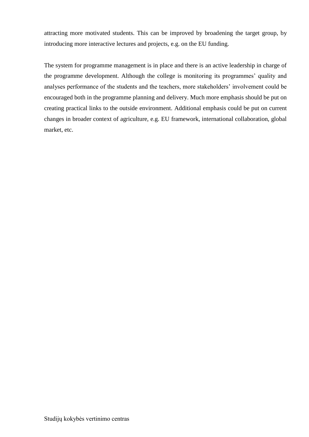attracting more motivated students. This can be improved by broadening the target group, by introducing more interactive lectures and projects, e.g. on the EU funding.

<span id="page-18-0"></span>The system for programme management is in place and there is an active leadership in charge of the programme development. Although the college is monitoring its programmes' quality and analyses performance of the students and the teachers, more stakeholders' involvement could be encouraged both in the programme planning and delivery. Much more emphasis should be put on creating practical links to the outside environment. Additional emphasis could be put on current changes in broader context of agriculture, e.g. EU framework, international collaboration, global market, etc.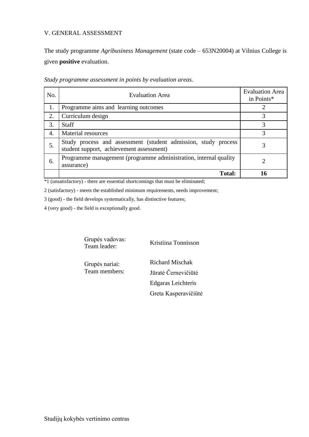### V. GENERAL ASSESSMENT

The study programme *Agribusiness Management* (state code – 653N20004) at Vilnius College is given **positive** evaluation.

| No. | <b>Evaluation Area</b>                                                                                     | <b>Evaluation Area</b><br>in Points* |
|-----|------------------------------------------------------------------------------------------------------------|--------------------------------------|
|     | Programme aims and learning outcomes                                                                       |                                      |
| 2.  | Curriculum design                                                                                          |                                      |
| 3.  | <b>Staff</b>                                                                                               |                                      |
| 4.  | Material resources                                                                                         | 3                                    |
| 5.  | Study process and assessment (student admission, study process<br>student support, achievement assessment) |                                      |
| 6.  | Programme management (programme administration, internal quality<br>assurance)                             |                                      |
|     | <b>Total:</b>                                                                                              |                                      |

*Study programme assessment in points by evaluation areas*.

\*1 (unsatisfactory) - there are essential shortcomings that must be eliminated;

2 (satisfactory) - meets the established minimum requirements, needs improvement;

3 (good) - the field develops systematically, has distinctive features;

4 (very good) - the field is exceptionally good.

Grupės vadovas: Team leader: Kristiina Tonnisson

Grupės nariai: Team members: Richard Mischak Jūratė Černevičiūtė Edgaras Leichteris Greta Kasperavičiūtė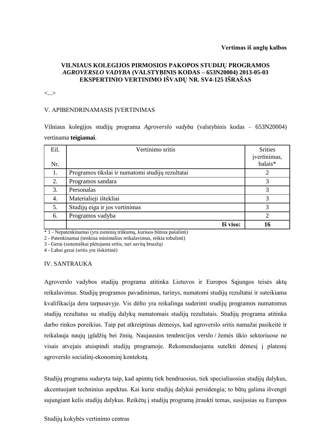## **VILNIAUS KOLEGIJOS PIRMOSIOS PAKOPOS STUDIJŲ PROGRAMOS**  *AGROVERSLO VADYBA* **(VALSTYBINIS KODAS – 653N20004) 2013-05-03 EKSPERTINIO VERTINIMO IŠVADŲ NR. SV4-125 IŠRAŠAS**

<...>

#### V. APIBENDRINAMASIS ĮVERTINIMAS

Vilniaus kolegijos studijų programa *Agroverslo vadyba* (valstybinis kodas – 653N20004) vertinama **teigiamai**.

| Eil. | Vertinimo sritis                                 | <b>Srities</b><br>įvertinimas,<br>balais <sup>*</sup> |
|------|--------------------------------------------------|-------------------------------------------------------|
| Nr.  |                                                  |                                                       |
| 1.   | Programos tikslai ir numatomi studijų rezultatai | 2                                                     |
| 2.   | Programos sandara                                | 3                                                     |
| 3.   | Personalas                                       | 3                                                     |
| 4.   | Materialieji ištekliai                           | 3                                                     |
| 5.   | Studijų eiga ir jos vertinimas                   | 3                                                     |
| 6.   | Programos vadyba                                 | 2                                                     |
|      | Iš viso:                                         | 16                                                    |

\* 1 - Nepatenkinamai (yra esminių trūkumų, kuriuos būtina pašalinti)

2 - Patenkinamai (tenkina minimalius reikalavimus, reikia tobulinti)

3 - Gerai (sistemiškai plėtojama sritis, turi savitų bruožų)

4 - Labai gerai (sritis yra išskirtinė)

#### IV. SANTRAUKA

Agroverslo vadybos studijų programa atitinka Lietuvos ir Europos Sąjungos teisės aktų reikalavimus. Studijų programos pavadinimas, turinys, numatomi studijų rezultatai ir suteikiama kvalifikacija dera tarpusavyje. Vis dėlto yra reikalinga suderinti srudijų programos numatomus studijų rezultatus su studijų dalykų numatomais studijų rezultatais. Studijų programa atitinka darbo rinkos poreikius. Taip pat atkreiptinas dėmesys, kad agroverslo sritis namažai pasikeitė ir reikalauja naujų įgūdžių bei žinių. Naujausios tendencijos verslo / žemės ūkio sektoriuose ne visais atvejais atsispindi studijų programoje. Rekomenduojama sutelkti dėmesį į platesnį agroverslo socialinį-ekonominį kontekstą.

Studijų programa sudaryta taip, kad apimtų tiek bendruosius, tiek specialiuosius studijų dalykus, akcentuojant techninius aspektus. Kai kurie studijų dalykai persidengia; to būtų galima išvengti sujungiant kelis studijų dalykus. Reikėtų į studijų programą įtraukti temas, susijusias su Europos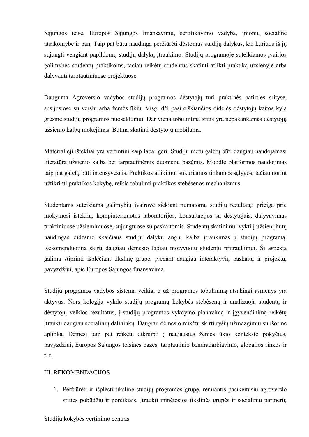Sąjungos teise, Europos Sąjungos finansavimu, sertifikavimo vadyba, įmonių socialine atsakomybe ir pan. Taip pat būtų naudinga peržiūrėti dėstomus studijų dalykus, kai kuriuos iš jų sujungti vengiant papildomų studijų dalykų įtraukimo. Studijų programoje suteikiamos įvairios galimybės studentų praktikoms, tačiau reikėtų studentus skatinti atlikti praktiką užsienyje arba dalyvauti tarptautiniuose projektuose.

Dauguma Agroverslo vadybos studijų programos dėstytojų turi praktinės patirties srityse, susijusiose su verslu arba žemės ūkiu. Visgi dėl pasireiškiančios didelės dėstytojų kaitos kyla grėsmė studijų programos nuoseklumui. Dar viena tobulintina sritis yra nepakankamas dėstytojų užsienio kalbų mokėjimas. Būtina skatinti dėstytojų mobilumą.

Materialieji ištekliai yra vertintini kaip labai geri. Studijų metu galėtų būti daugiau naudojamasi literatūra užsienio kalba bei tarptautinėmis duomenų bazėmis. Moodle platformos naudojimas taip pat galėtų būti intensyvesnis. Praktikos atlikimui sukuriamos tinkamos sąlygos, tačiau norint užtikrinti praktikos kokybę, reikia tobulinti praktikos stebėsenos mechanizmus.

Studentams suteikiama galimybių įvairovė siekiant numatomų studijų rezultatų: prieiga prie mokymosi išteklių, kompiuterizuotos laboratorijos, konsultacijos su dėstytojais, dalyvavimas praktiniuose užsiėmimuose, sujungtuose su paskaitomis. Studentų skatinimui vykti į užsienį būtų naudingas didesnio skaičiaus studijų dalykų anglų kalba įtraukimas į studijų programą. Rekomenduotina skirti daugiau dėmesio labiau motyvuotų studentų pritraukimui. Šį aspektą galima stiprinti išplečiant tikslinę grupę, įvedant daugiau interaktyvių paskaitų ir projektų, pavyzdžiui, apie Europos Sąjungos finansavimą.

Studijų programos vadybos sistema veikia, o už programos tobulinimą atsakingi asmenys yra aktyvūs. Nors kolegija vykdo studijų programų kokybės stebėseną ir analizuoja studentų ir dėstytojų veiklos rezultatus, į studijų programos vykdymo planavimą ir įgyvendinimą reikėtų įtraukti daugiau socialinių dalininkų. Daugiau dėmesio reikėtų skirti ryšių užmezgimui su išorine aplinka. Dėmesį taip pat reikėtų atkreipti į naujausius žemės ūkio konteksto pokyčius, pavyzdžiui, Europos Sąjungos teisinės bazės, tarptautinio bendradarbiavimo, globalios rinkos ir t. t.

### III. REKOMENDACIJOS

1. Peržiūrėti ir išplėsti tikslinę studijų programos grupę, remiantis pasikeitusiu agroverslo srities pobūdžiu ir poreikiais. Įtraukti minėtosios tikslinės grupės ir socialinių partnerių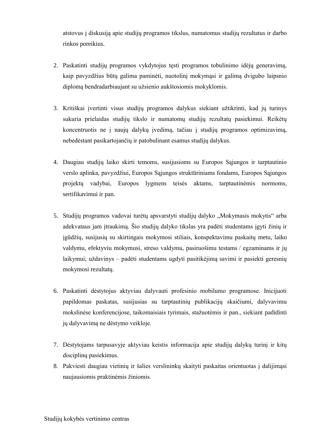atstovus į diskusiją apie studijų programos tikslus, numatomus studijų rezultatus ir darbo rinkos poreikius.

- 2. Paskatinti studijų programos vykdytojus tęsti programos tobulinimo idėjų generavimą, kaip pavyzdžius būtų galima paminėti, nuotolinį mokymąsi ir galimą dvigubo laipsnio diplomą bendradarbiaujant su užsienio aukštosiomis mokyklomis.
- 3. Kritiškai įvertinti visus studijų programos dalykus siekiant užtikrinti, kad jų turinys sukuria prielaidas studijų tikslo ir numatomų studijų rezultatų pasiekimui. Reikėtų koncentruotis ne į naujų dalykų įvedimą, tačiau į studijų programos optimizavimą, nebedėstant pasikartojančių ir patobulinant esamus studijų dalykus.
- 4. Daugiau studijų laiko skirti temoms, susijusioms su Europos Sąjungos ir tarptautinio verslo aplinka, pavyzdžiui, Europos Sąjungos struktūriniams fondams, Europos Sąjungos projektų vadybai, Europos lygmens teisės aktams, tarptautinėmis normoms, sertifikavimui ir pan.
- 5. Studijų programos vadovai turėtų apsvarstyti studijų dalyko "Mokymasis mokytis" arba adekvataus jam įtraukimą. Šio studijų dalyko tikslas yra padėti studentams įgyti žinių ir įgūdžių, susijusių su skirtingais mokymosi stiliais, konspektavimu paskaitų metu, laiko valdymu, efektyviu mokymusi, streso valdymu, pasiruošimu testams / egzaminams ir jų laikymui; uždavinys – padėti studentams ugdyti pasitikėjimą savimi ir pasiekti geresnių mokymosi rezultatų.
- 6. Paskatinti dėstytojus aktyviau dalyvauti profesinio mobilumo programose. Inicijuoti papildomas paskatas, susijusias su tarptautinių publikacijų skaičiumi, dalyvavimu mokslinėse konferencijose, taikomaisiais tyrimais, stažuotėmis ir pan., siekiant padidinti jų dalyvavimą ne dėstymo veikloje.
- 7. Dėstytojams tarpusavyje aktyviau keistis informacija apie studijų dalykų turinį ir kitų disciplinų pasiekimus.
- 8. Pakviesti daugiau vietinių ir šalies verslininkų skaityti paskaitas orientuotas į dalijimąsi naujausiomis praktinėmis žiniomis.